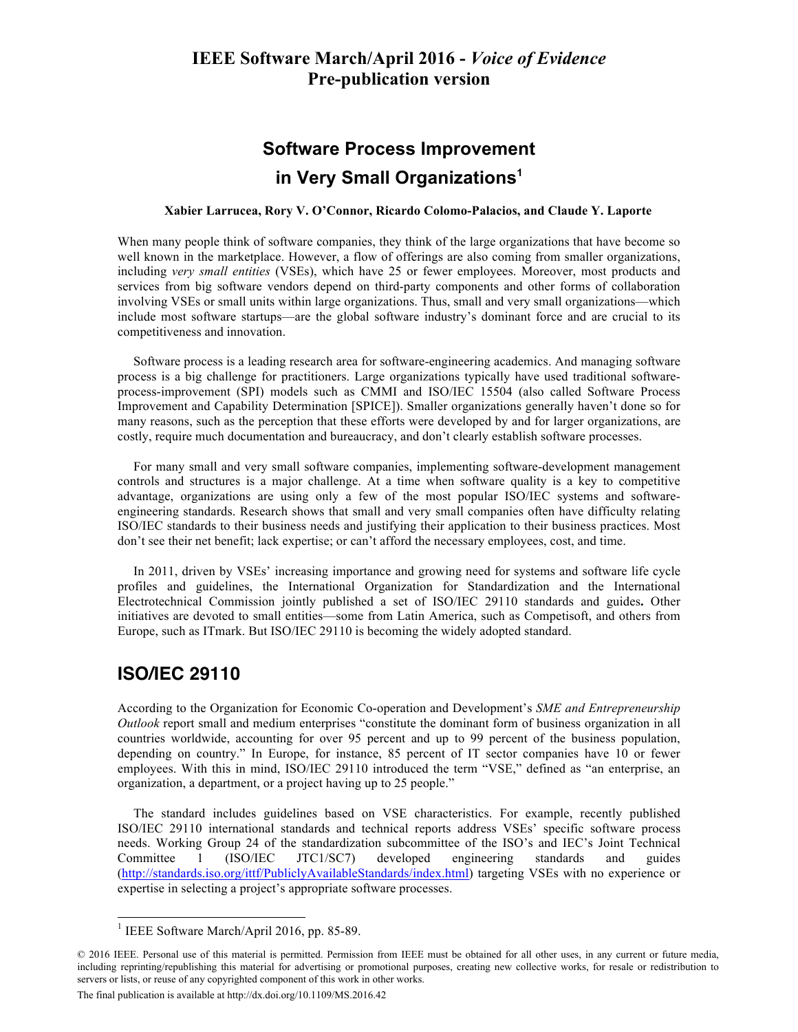# **Software Process Improvement in Very Small Organizations1**

#### **Xabier Larrucea, Rory V. O'Connor, Ricardo Colomo-Palacios, and Claude Y. Laporte**

When many people think of software companies, they think of the large organizations that have become so well known in the marketplace. However, a flow of offerings are also coming from smaller organizations, including *very small entities* (VSEs), which have 25 or fewer employees. Moreover, most products and services from big software vendors depend on third-party components and other forms of collaboration involving VSEs or small units within large organizations. Thus, small and very small organizations—which include most software startups—are the global software industry's dominant force and are crucial to its competitiveness and innovation.

Software process is a leading research area for software-engineering academics. And managing software process is a big challenge for practitioners. Large organizations typically have used traditional softwareprocess-improvement (SPI) models such as CMMI and ISO/IEC 15504 (also called Software Process Improvement and Capability Determination [SPICE]). Smaller organizations generally haven't done so for many reasons, such as the perception that these efforts were developed by and for larger organizations, are costly, require much documentation and bureaucracy, and don't clearly establish software processes.

For many small and very small software companies, implementing software-development management controls and structures is a major challenge. At a time when software quality is a key to competitive advantage, organizations are using only a few of the most popular ISO/IEC systems and softwareengineering standards. Research shows that small and very small companies often have difficulty relating ISO/IEC standards to their business needs and justifying their application to their business practices. Most don't see their net benefit; lack expertise; or can't afford the necessary employees, cost, and time.

In 2011, driven by VSEs' increasing importance and growing need for systems and software life cycle profiles and guidelines, the International Organization for Standardization and the International Electrotechnical Commission jointly published a set of ISO/IEC 29110 standards and guides**.** Other initiatives are devoted to small entities—some from Latin America, such as Competisoft, and others from Europe, such as ITmark. But ISO/IEC 29110 is becoming the widely adopted standard.

### **ISO/IEC 29110**

According to the Organization for Economic Co-operation and Development's *SME and Entrepreneurship Outlook* report small and medium enterprises "constitute the dominant form of business organization in all countries worldwide, accounting for over 95 percent and up to 99 percent of the business population, depending on country." In Europe, for instance, 85 percent of IT sector companies have 10 or fewer employees. With this in mind, ISO/IEC 29110 introduced the term "VSE," defined as "an enterprise, an organization, a department, or a project having up to 25 people."

The standard includes guidelines based on VSE characteristics. For example, recently published ISO/IEC 29110 international standards and technical reports address VSEs' specific software process needs. Working Group 24 of the standardization subcommittee of the ISO's and IEC's Joint Technical Committee 1 (ISO/IEC JTC1/SC7) developed engineering standards and guides (http://standards.iso.org/ittf/PubliclyAvailableStandards/index.html) targeting VSEs with no experience or expertise in selecting a project's appropriate software processes.

<sup>&</sup>lt;sup>1</sup> IEEE Software March/April 2016, pp. 85-89.

<sup>© 2016</sup> IEEE. Personal use of this material is permitted. Permission from IEEE must be obtained for all other uses, in any current or future media, including reprinting/republishing this material for advertising or promotional purposes, creating new collective works, for resale or redistribution to servers or lists, or reuse of any copyrighted component of this work in other works.

The final publication is available at http://dx.doi.org/10.1109/MS.2016.42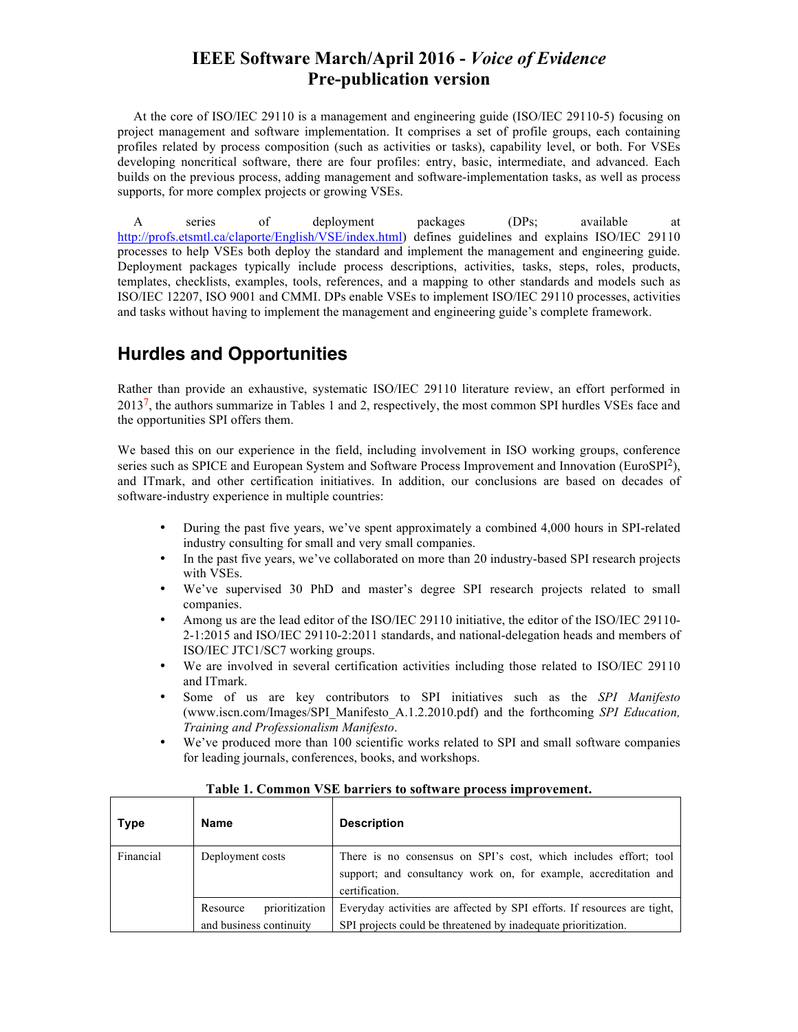At the core of ISO/IEC 29110 is a management and engineering guide (ISO/IEC 29110-5) focusing on project management and software implementation. It comprises a set of profile groups, each containing profiles related by process composition (such as activities or tasks), capability level, or both. For VSEs developing noncritical software, there are four profiles: entry, basic, intermediate, and advanced. Each builds on the previous process, adding management and software-implementation tasks, as well as process supports, for more complex projects or growing VSEs.

A series of deployment packages (DPs; available at http://profs.etsmtl.ca/claporte/English/VSE/index.html) defines guidelines and explains ISO/IEC 29110 processes to help VSEs both deploy the standard and implement the management and engineering guide. Deployment packages typically include process descriptions, activities, tasks, steps, roles, products, templates, checklists, examples, tools, references, and a mapping to other standards and models such as ISO/IEC 12207, ISO 9001 and CMMI. DPs enable VSEs to implement ISO/IEC 29110 processes, activities and tasks without having to implement the management and engineering guide's complete framework.

## **Hurdles and Opportunities**

Rather than provide an exhaustive, systematic ISO/IEC 29110 literature review, an effort performed in  $2013<sup>7</sup>$ , the authors summarize in Tables 1 and 2, respectively, the most common SPI hurdles VSEs face and the opportunities SPI offers them.

We based this on our experience in the field, including involvement in ISO working groups, conference series such as SPICE and European System and Software Process Improvement and Innovation (EuroSPI<sup>2</sup>), and ITmark, and other certification initiatives. In addition, our conclusions are based on decades of software-industry experience in multiple countries:

- During the past five years, we've spent approximately a combined 4,000 hours in SPI-related industry consulting for small and very small companies.
- In the past five years, we've collaborated on more than 20 industry-based SPI research projects with VSEs.
- We've supervised 30 PhD and master's degree SPI research projects related to small companies.
- Among us are the lead editor of the ISO/IEC 29110 initiative, the editor of the ISO/IEC 29110- 2-1:2015 and ISO/IEC 29110-2:2011 standards, and national-delegation heads and members of ISO/IEC JTC1/SC7 working groups.
- We are involved in several certification activities including those related to ISO/IEC 29110 and ITmark.
- Some of us are key contributors to SPI initiatives such as the *SPI Manifesto* (www.iscn.com/Images/SPI\_Manifesto\_A.1.2.2010.pdf) and the forthcoming *SPI Education, Training and Professionalism Manifesto*.
- We've produced more than 100 scientific works related to SPI and small software companies for leading journals, conferences, books, and workshops.

| <b>Type</b> | <b>Name</b>                                           | <b>Description</b>                                                                                                                                     |
|-------------|-------------------------------------------------------|--------------------------------------------------------------------------------------------------------------------------------------------------------|
| Financial   | Deployment costs                                      | There is no consensus on SPI's cost, which includes effort; tool<br>support; and consultancy work on, for example, accreditation and<br>certification. |
|             | prioritization<br>Resource<br>and business continuity | Everyday activities are affected by SPI efforts. If resources are tight,<br>SPI projects could be threatened by inadequate prioritization.             |

#### **Table 1. Common VSE barriers to software process improvement.**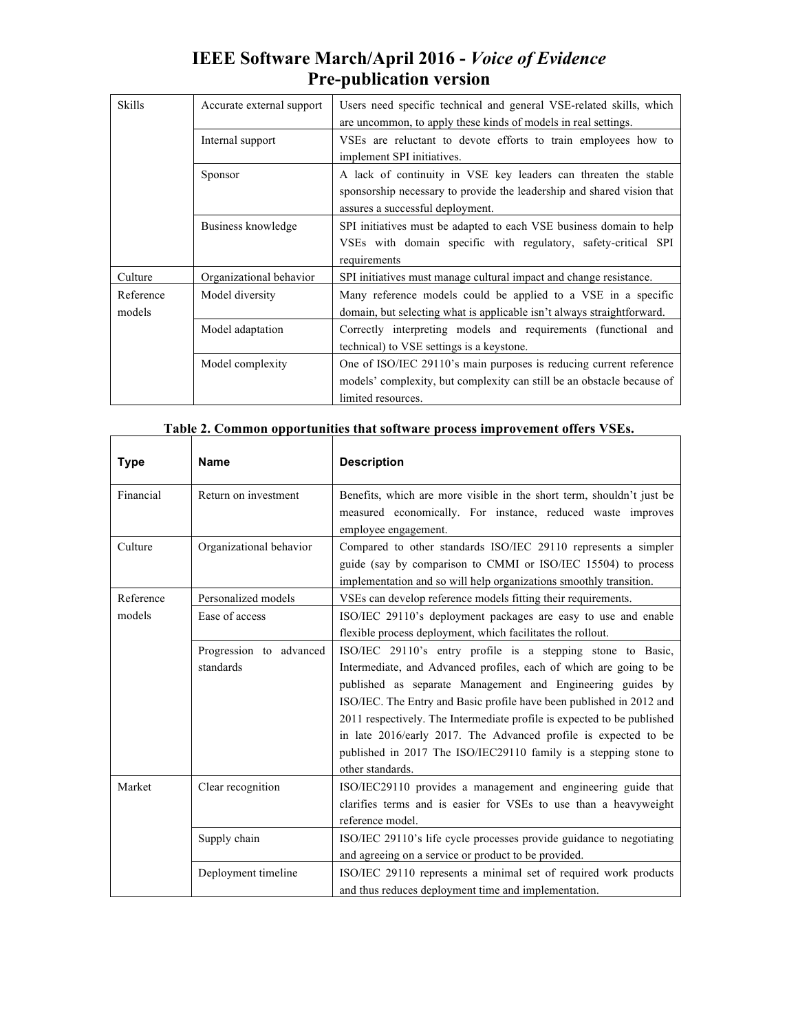| <b>IEEE Software March/April 2016 - Voice of Evidence</b> |  |
|-----------------------------------------------------------|--|
| <b>Pre-publication version</b>                            |  |

| <b>Skills</b>       | Accurate external support | Users need specific technical and general VSE-related skills, which<br>are uncommon, to apply these kinds of models in real settings.                                         |
|---------------------|---------------------------|-------------------------------------------------------------------------------------------------------------------------------------------------------------------------------|
|                     | Internal support          | VSEs are reluctant to devote efforts to train employees how to<br>implement SPI initiatives.                                                                                  |
|                     | Sponsor                   | A lack of continuity in VSE key leaders can threaten the stable<br>sponsorship necessary to provide the leadership and shared vision that<br>assures a successful deployment. |
|                     | Business knowledge        | SPI initiatives must be adapted to each VSE business domain to help<br>VSEs with domain specific with regulatory, safety-critical SPI<br>requirements                         |
| Culture             | Organizational behavior   | SPI initiatives must manage cultural impact and change resistance.                                                                                                            |
| Reference<br>models | Model diversity           | Many reference models could be applied to a VSE in a specific<br>domain, but selecting what is applicable isn't always straightforward.                                       |
|                     | Model adaptation          | Correctly interpreting models and requirements (functional and<br>technical) to VSE settings is a keystone.                                                                   |
|                     | Model complexity          | One of ISO/IEC 29110's main purposes is reducing current reference<br>models' complexity, but complexity can still be an obstacle because of<br>limited resources.            |

| <b>Type</b> | <b>Name</b>                          | <b>Description</b>                                                                                                                                                                                                                                                                                                                                                                                                                                                                                            |
|-------------|--------------------------------------|---------------------------------------------------------------------------------------------------------------------------------------------------------------------------------------------------------------------------------------------------------------------------------------------------------------------------------------------------------------------------------------------------------------------------------------------------------------------------------------------------------------|
| Financial   | Return on investment                 | Benefits, which are more visible in the short term, shouldn't just be<br>measured economically. For instance, reduced waste improves<br>employee engagement.                                                                                                                                                                                                                                                                                                                                                  |
| Culture     | Organizational behavior              | Compared to other standards ISO/IEC 29110 represents a simpler<br>guide (say by comparison to CMMI or ISO/IEC 15504) to process<br>implementation and so will help organizations smoothly transition.                                                                                                                                                                                                                                                                                                         |
| Reference   | Personalized models                  | VSEs can develop reference models fitting their requirements.                                                                                                                                                                                                                                                                                                                                                                                                                                                 |
| models      | Ease of access                       | ISO/IEC 29110's deployment packages are easy to use and enable<br>flexible process deployment, which facilitates the rollout.                                                                                                                                                                                                                                                                                                                                                                                 |
|             | Progression to advanced<br>standards | ISO/IEC 29110's entry profile is a stepping stone to Basic,<br>Intermediate, and Advanced profiles, each of which are going to be<br>published as separate Management and Engineering guides by<br>ISO/IEC. The Entry and Basic profile have been published in 2012 and<br>2011 respectively. The Intermediate profile is expected to be published<br>in late 2016/early 2017. The Advanced profile is expected to be<br>published in 2017 The ISO/IEC29110 family is a stepping stone to<br>other standards. |
| Market      | Clear recognition                    | ISO/IEC29110 provides a management and engineering guide that<br>clarifies terms and is easier for VSEs to use than a heavyweight<br>reference model.                                                                                                                                                                                                                                                                                                                                                         |
|             | Supply chain                         | ISO/IEC 29110's life cycle processes provide guidance to negotiating<br>and agreeing on a service or product to be provided.                                                                                                                                                                                                                                                                                                                                                                                  |
|             | Deployment timeline                  | ISO/IEC 29110 represents a minimal set of required work products<br>and thus reduces deployment time and implementation.                                                                                                                                                                                                                                                                                                                                                                                      |

**Table 2. Common opportunities that software process improvement offers VSEs.**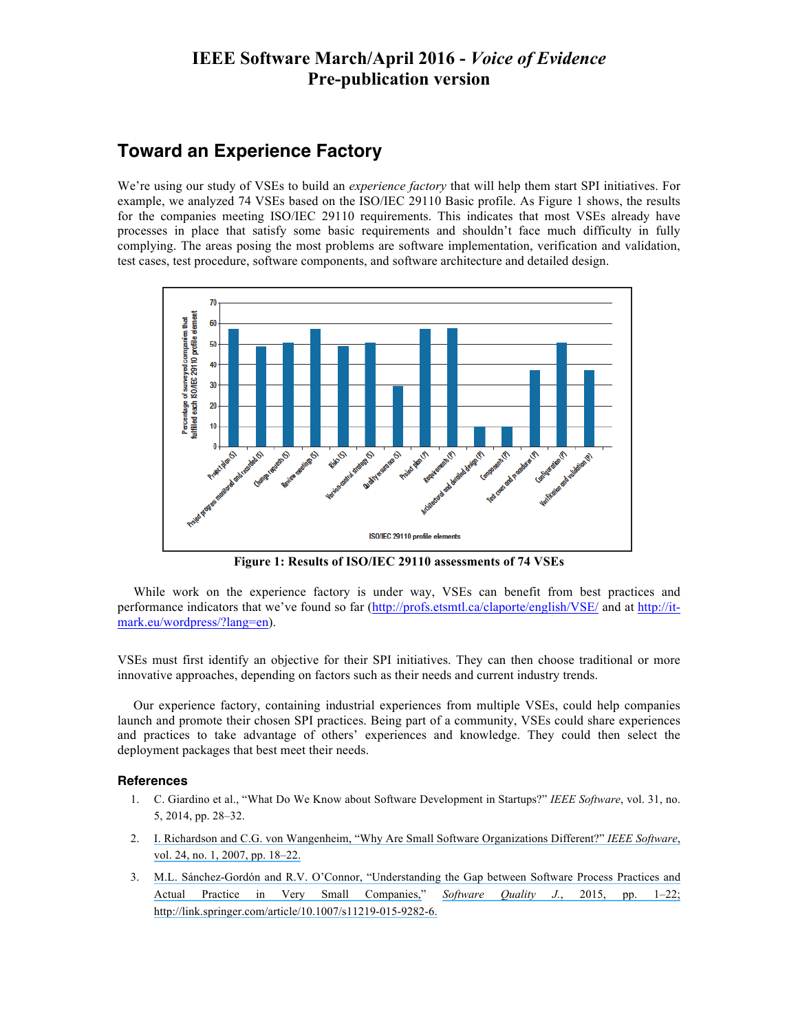### **Toward an Experience Factory**

We're using our study of VSEs to build an *experience factory* that will help them start SPI initiatives. For example, we analyzed 74 VSEs based on the ISO/IEC 29110 Basic profile. As Figure 1 shows, the results for the companies meeting ISO/IEC 29110 requirements. This indicates that most VSEs already have processes in place that satisfy some basic requirements and shouldn't face much difficulty in fully complying. The areas posing the most problems are software implementation, verification and validation, test cases, test procedure, software components, and software architecture and detailed design.



**Figure 1: Results of ISO/IEC 29110 assessments of 74 VSEs**

While work on the experience factory is under way, VSEs can benefit from best practices and performance indicators that we've found so far (http://profs.etsmtl.ca/claporte/english/VSE/ and at http://itmark.eu/wordpress/?lang=en).

VSEs must first identify an objective for their SPI initiatives. They can then choose traditional or more innovative approaches, depending on factors such as their needs and current industry trends.

Our experience factory, containing industrial experiences from multiple VSEs, could help companies launch and promote their chosen SPI practices. Being part of a community, VSEs could share experiences and practices to take advantage of others' experiences and knowledge. They could then select the deployment packages that best meet their needs.

#### **References**

- 1. C. Giardino et al., "What Do We Know about Software Development in Startups?" *IEEE Software*, vol. 31, no. 5, 2014, pp. 28–32.
- 2. [I. Richardson and C.G. von Wangenheim, "Why Are Small Software Organizations Different?"](https://www.researchgate.net/publication/31591096_Why_are_small_software_organisations_different?el=1_x_8&enrichId=rgreq-099c7a79587793890d303bc41fe74833-XXX&enrichSource=Y292ZXJQYWdlOzI5NjQ4MDIzNztBUzozMzg4MDE2NjM3MjU1NjhAMTQ1Nzc4ODAxOTU4OQ==) *IEEE Software*, [vol. 24, no. 1, 2007, pp. 18–22.](https://www.researchgate.net/publication/31591096_Why_are_small_software_organisations_different?el=1_x_8&enrichId=rgreq-099c7a79587793890d303bc41fe74833-XXX&enrichSource=Y292ZXJQYWdlOzI5NjQ4MDIzNztBUzozMzg4MDE2NjM3MjU1NjhAMTQ1Nzc4ODAxOTU4OQ==)
- 3. [M.L. Sánchez-Gordón and R.V. O'Connor, "Understanding the Gap between Software Process Practices and](https://www.researchgate.net/publication/277950698_Understanding_the_gap_between_software_process_practices_and_actual_practice_in_very_small_companies?el=1_x_8&enrichId=rgreq-099c7a79587793890d303bc41fe74833-XXX&enrichSource=Y292ZXJQYWdlOzI5NjQ4MDIzNztBUzozMzg4MDE2NjM3MjU1NjhAMTQ1Nzc4ODAxOTU4OQ==) [Actual Practice in Very Small Companies,](https://www.researchgate.net/publication/277950698_Understanding_the_gap_between_software_process_practices_and_actual_practice_in_very_small_companies?el=1_x_8&enrichId=rgreq-099c7a79587793890d303bc41fe74833-XXX&enrichSource=Y292ZXJQYWdlOzI5NjQ4MDIzNztBUzozMzg4MDE2NjM3MjU1NjhAMTQ1Nzc4ODAxOTU4OQ==)" *Software Quality J.*[, 2015, pp. 1–22;](https://www.researchgate.net/publication/277950698_Understanding_the_gap_between_software_process_practices_and_actual_practice_in_very_small_companies?el=1_x_8&enrichId=rgreq-099c7a79587793890d303bc41fe74833-XXX&enrichSource=Y292ZXJQYWdlOzI5NjQ4MDIzNztBUzozMzg4MDE2NjM3MjU1NjhAMTQ1Nzc4ODAxOTU4OQ==) [http://link.springer.com/article/10.1007/s11219-015-9282-6.](https://www.researchgate.net/publication/277950698_Understanding_the_gap_between_software_process_practices_and_actual_practice_in_very_small_companies?el=1_x_8&enrichId=rgreq-099c7a79587793890d303bc41fe74833-XXX&enrichSource=Y292ZXJQYWdlOzI5NjQ4MDIzNztBUzozMzg4MDE2NjM3MjU1NjhAMTQ1Nzc4ODAxOTU4OQ==)